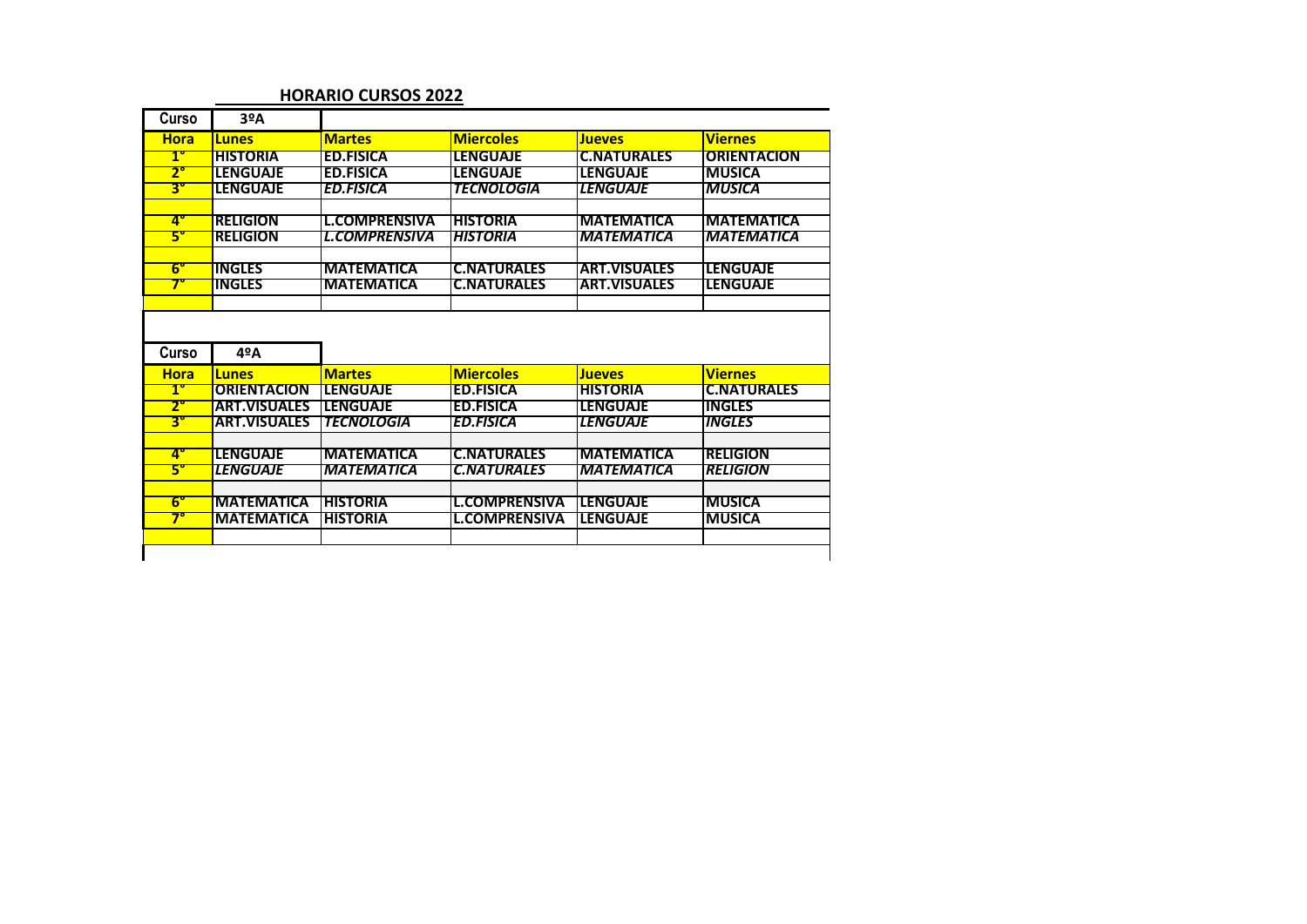## **HORARIO CURSOS 2022**

| Curso                           | 3ºA                                |                                        |                                                 |                                         |                                    |
|---------------------------------|------------------------------------|----------------------------------------|-------------------------------------------------|-----------------------------------------|------------------------------------|
| <b>Hora</b>                     | <b>Lunes</b>                       | <b>Martes</b>                          | <b>Miercoles</b>                                | <b>Jueves</b>                           | <b>Viernes</b>                     |
| T                               | <b>HISTORIA</b>                    | <b>ED.FISICA</b>                       | <b>LENGUAJE</b>                                 | <b>C.NATURALES</b>                      | <b>ORIENTACION</b>                 |
| $2^{\circ}$                     | <b>LENGUAJE</b>                    | <b>ED.FISICA</b>                       | <b>LENGUAJE</b>                                 | <b>LENGUAJE</b>                         | <b>MUSICA</b>                      |
| $\overline{\mathbf{3}^{\circ}}$ | <b>LENGUAJE</b>                    | <b>ED.FISICA</b>                       | <b>TECNOLOGIA</b>                               | <b><i>LENGUAJE</i></b>                  | <b>MUSICA</b>                      |
| $\mathbf{A}^{\bullet}$          | <b>RELIGION</b>                    | <b>L.COMPRENSIVA</b>                   | <b>HISTORIA</b>                                 | <b>MATEMATICA</b>                       | <b>MATEMATICA</b>                  |
| 5°                              | <b>RELIGION</b>                    | <b>L.COMPRENSIVA</b>                   | <b>HISTORIA</b>                                 | <b>MATEMATICA</b>                       | <b>IMATEMATICA</b>                 |
|                                 |                                    |                                        |                                                 |                                         |                                    |
| $6^{\circ}$                     | INGLES                             | <b>MATEMATICA</b>                      | <b>C.NATURALES</b>                              | <b>ART.VISUALES</b>                     | <b>LENGUAJE</b>                    |
| 7°                              | <b>INGLES</b>                      | <b>MATEMATICA</b>                      | <b>C.NATURALES</b>                              | <b>ART.VISUALES</b>                     | <b>LENGUAJE</b>                    |
|                                 |                                    |                                        |                                                 |                                         |                                    |
|                                 |                                    |                                        |                                                 |                                         |                                    |
| Curso                           | 4ºA                                |                                        |                                                 |                                         |                                    |
| <b>Hora</b>                     | <b>Lunes</b>                       | <b>Martes</b>                          | <b>Miercoles</b>                                | <b>Jueves</b>                           | <b>Viernes</b>                     |
| $1^{\circ}$                     | <b>ORIENTACION</b>                 | <b>LENGUAJE</b>                        | <b>ED.FISICA</b>                                | <b>HISTORIA</b>                         | <b>C.NATURALES</b>                 |
| $2^{\circ}$                     | <b>ART.VISUALES</b>                | <b>ILENGUAJE</b>                       | <b>ED.FISICA</b>                                | <b>LENGUAJE</b>                         | <b>INGLES</b>                      |
| $3^{\circ}$                     | <b>ART.VISUALES</b>                | <b>TECNOLOGIA</b>                      | <b>ED.FISICA</b>                                | <b><i>LENGUAJE</i></b>                  | INGLES                             |
|                                 |                                    |                                        |                                                 |                                         |                                    |
| $\mathbf{A}^{\bullet}$<br>5°    | <b>LENGUAJE</b><br><b>LENGUAJE</b> | <b>MATEMATICA</b><br><b>MATEMATICA</b> | <b>C.NATURALES</b><br><i><b>C.NATURALES</b></i> | <b>IMATEMATICA</b><br><b>MATEMATICA</b> | <b>RELIGION</b><br><b>RELIGION</b> |
|                                 |                                    |                                        |                                                 |                                         |                                    |
| $6^{\circ}$                     | <b>MATEMATICA</b>                  | <b>HISTORIA</b>                        | <b>L.COMPRENSIVA</b>                            | <b>ILENGUAJE</b>                        | <b>MUSICA</b>                      |
| 7°                              | <b>MATEMATICA</b>                  | <b>HISTORIA</b>                        | <b>L.COMPRENSIVA</b>                            | LENGUAJE                                | <b>MUSICA</b>                      |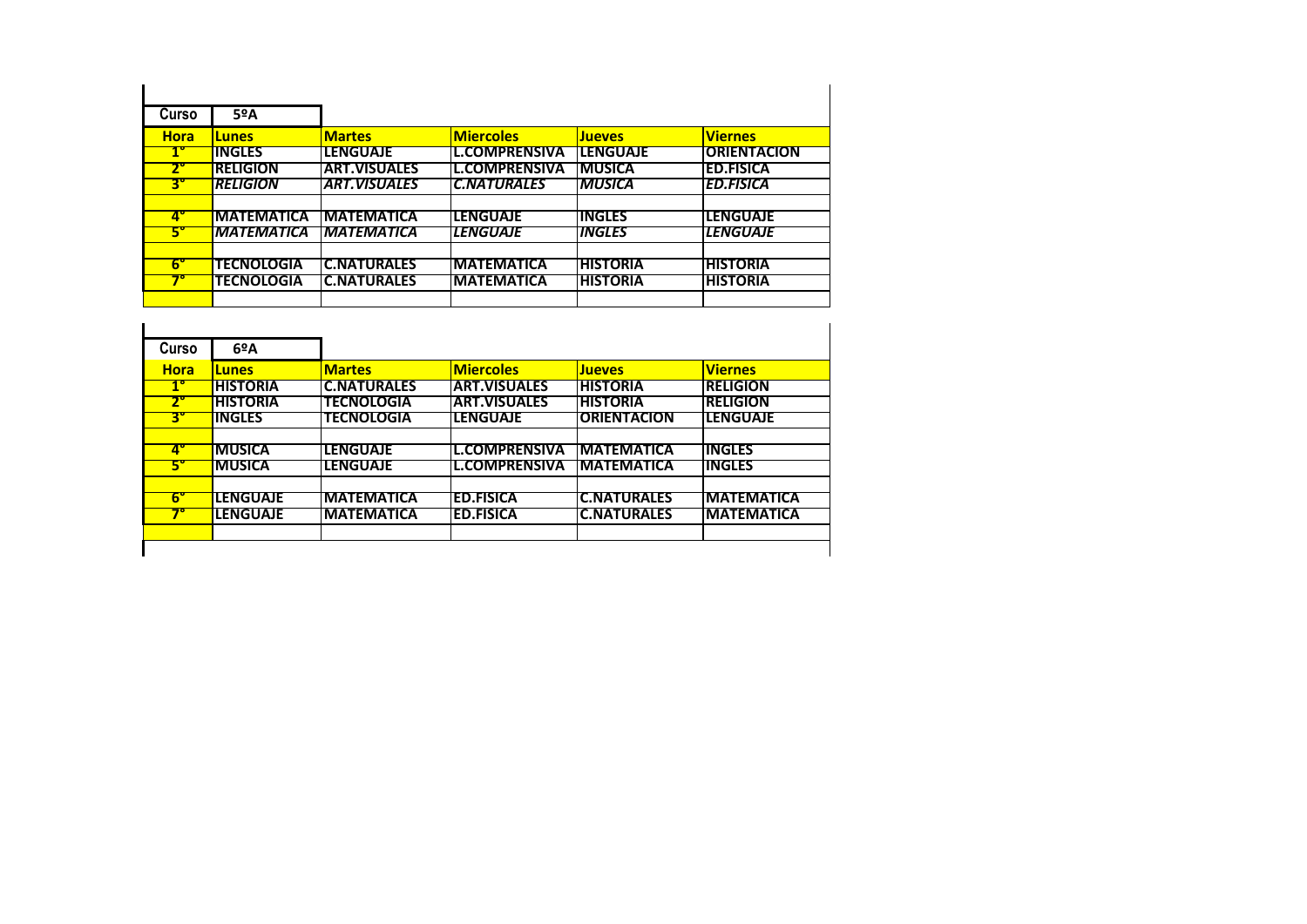| Curso                | 5ºA                      |                           |                      |                      |                    |
|----------------------|--------------------------|---------------------------|----------------------|----------------------|--------------------|
| <b>Hora</b>          | <b>Lunes</b>             | <b>Martes</b>             | <b>Miercoles</b>     | <b>Jueves</b>        | <b>Viernes</b>     |
| $1^{\circ}$          | INGLES                   | <b>LENGUAJE</b>           | <b>L.COMPRENSIVA</b> | ILENGUAJE            | <b>ORIENTACION</b> |
| 7.                   | <b>RELIGION</b>          | <b>ART.VISUALES</b>       | IL.COMPRENSIVA       | IMUSICA              | <b>ED.FISICA</b>   |
| $\mathbf{3}^{\circ}$ | <b>RELIGION</b>          | <b>ART.VISUALES</b>       | <b>C.NATURALES</b>   | <b>MUSICA</b>        | <b>ED.FISICA</b>   |
|                      |                          |                           |                      |                      |                    |
| 4"                   | <b>IMATEMATICA</b>       | <b>IMATEMATICA</b>        | ILENGUAJE            | <b>IINGLES</b>       | <b>TENGUAJE</b>    |
| 5"                   | <i><b>MATEMATICA</b></i> | <i><b>IMATEMATICA</b></i> | <b>LENGUAJE</b>      | <i><b>INGLES</b></i> | <b>LENGUAJE</b>    |
|                      |                          |                           |                      |                      |                    |
| $6^{\circ}$          | <b>TECNOLOGIA</b>        | <b>C.NATURALES</b>        | <b>MATEMATICA</b>    | <b>HISTORIA</b>      | <b>HISTORIA</b>    |
|                      | <b>TECNOLOGIA</b>        | IC.NATURALES              | <b>IMATEMATICA</b>   | <b>HISTORIA</b>      | <b>HISTORIA</b>    |
|                      |                          |                           |                      |                      |                    |

| Curso       | $6^{\circ}$ A   |                    |                      |                     |                    |
|-------------|-----------------|--------------------|----------------------|---------------------|--------------------|
| <b>Hora</b> | <b>Lunes</b>    | <b>Martes</b>      | <b>Miercoles</b>     | <b>Jueves</b>       | <b>Viernes</b>     |
| $1^{\circ}$ | <b>HISTORIA</b> | <b>C.NATURALES</b> | <b>ART.VISUALES</b>  | <b>IHISTORIA</b>    | <b>IRELIGION</b>   |
|             | <b>HISTORIA</b> | <b>TECNOLOGIA</b>  | IART.VISUALES        | <b>THISTORIA</b>    | <b>IRELIGION</b>   |
| з.          | <b>INGLES</b>   | <b>TECNOLOGIA</b>  | <b>LENGUAJE</b>      | <b>IORIENTACION</b> | <b>ILENGUAJE</b>   |
|             |                 |                    |                      |                     |                    |
| 47          | <b>MUSICA</b>   | LENGUAJE           | <b>L.COMPRENSIVA</b> | <b>IMATEMATICA</b>  | <b>IINGLES</b>     |
| 5.          | <b>MUSICA</b>   | <b>LENGUAJE</b>    | L.COMPRENSIVA        | <b>IMATEMATICA</b>  | <b>IINGLES</b>     |
| 67          | <b>LENGUAJE</b> | <b>IMATEMATICA</b> | <b>ED.FISICA</b>     | IC.NATURALES        | <b>IMATEMATICA</b> |
|             | <b>LENGUAJE</b> | <b>IMATEMATICA</b> | <b>ED.FISICA</b>     | <b>C.NATURALES</b>  | <b>IMATEMATICA</b> |
|             |                 |                    |                      |                     |                    |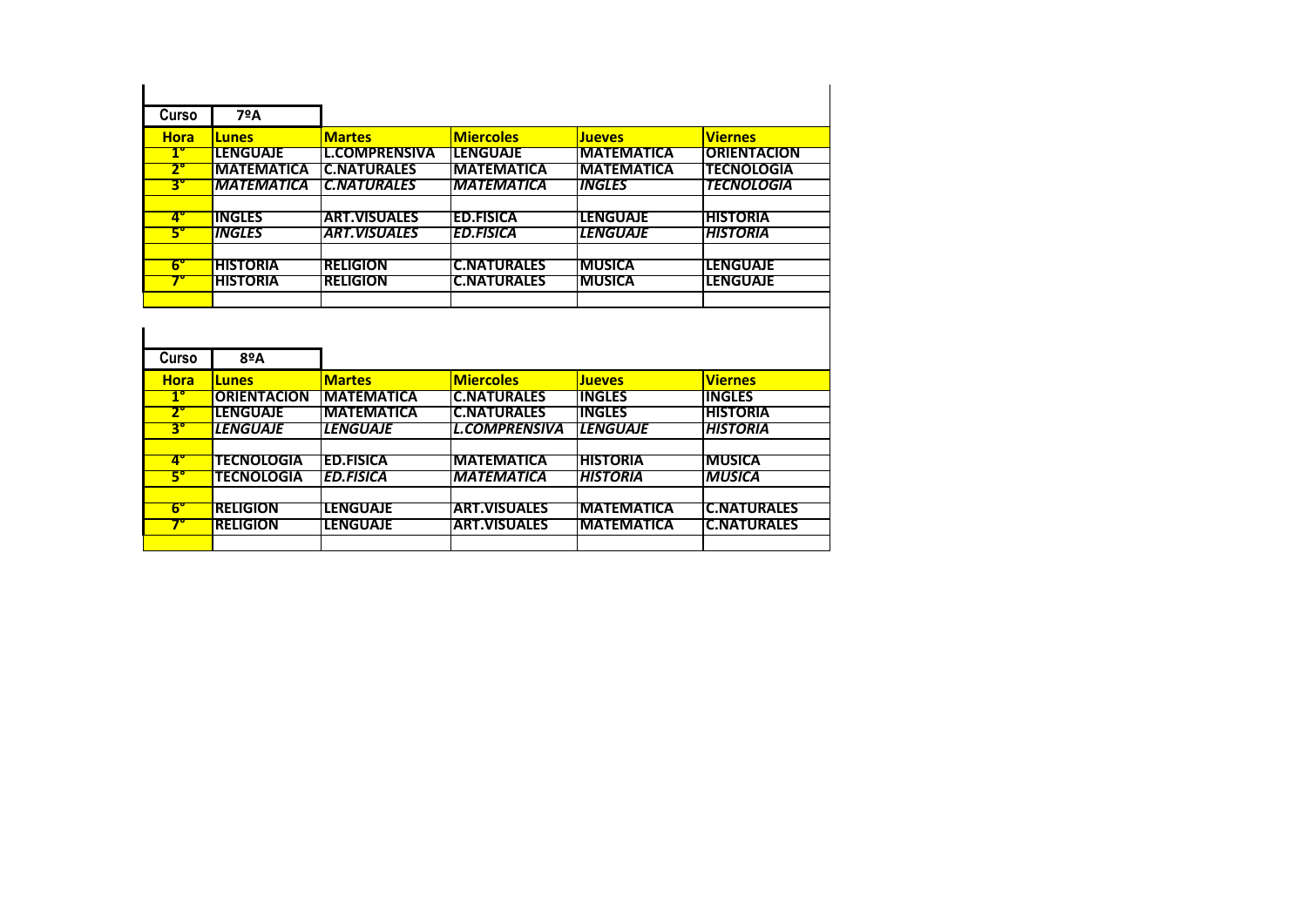| Curso                | 7ºA                  |                      |                    |                      |                     |
|----------------------|----------------------|----------------------|--------------------|----------------------|---------------------|
| <b>Hora</b>          | <b>Lunes</b>         | <b>Martes</b>        | <b>Miercoles</b>   | <b>Jueves</b>        | <b>Viernes</b>      |
|                      | <b>LENGUAJE</b>      | <b>L.COMPRENSIVA</b> | <b>LENGUAJE</b>    | <b>MATEMATICA</b>    | <b>IORIENTACION</b> |
| $\mathbf{2}^{\circ}$ | <b>MATEMATICA</b>    | <b>IC.NATURALES</b>  | <b>IMATEMATICA</b> | <b>MATEMATICA</b>    | <b>TECNOLOGIA</b>   |
| 3°                   | <b>MATEMATICA</b>    | <b>C.NATURALES</b>   | <b>MATEMATICA</b>  | <i><b>INGLES</b></i> | <b>TECNOLOGIA</b>   |
|                      |                      |                      |                    |                      |                     |
|                      | INGLES               | <b>ART.VISUALES</b>  | <b>ED.FISICA</b>   | <b>LENGUAJE</b>      | <b>HISTORIA</b>     |
|                      | <i><b>INGLES</b></i> | <b>ART.VISUALES</b>  | <b>ED.FISICA</b>   | <b>LENGUAJE</b>      | <b>HISTORIA</b>     |
|                      |                      |                      |                    |                      |                     |
| 67                   | <b>HISTORIA</b>      | <b>RELIGION</b>      | <b>C.NATURALES</b> | <b>MUSICA</b>        | <b>LENGUAJE</b>     |
|                      | <b>HISTORIA</b>      | <b>RELIGION</b>      | <b>C.NATURALES</b> | <b>MUSICA</b>        | <b>LENGUAJE</b>     |
|                      |                      |                      |                    |                      |                     |

| Curso                  | 8ºA                |                    |                      |                   |                     |
|------------------------|--------------------|--------------------|----------------------|-------------------|---------------------|
| <b>Hora</b>            | <b>Lunes</b>       | <b>Martes</b>      | <b>Miercoles</b>     | <b>Jueves</b>     | <b>Viernes</b>      |
| $1^{\circ}$            | <b>ORIENTACION</b> | <b>IMATEMATICA</b> | <b>C.NATURALES</b>   | <b>INGLES</b>     | <b>INGLES</b>       |
| 2°                     | LENGUAJE           | <b>IMATEMATICA</b> | <b>C.NATURALES</b>   | IINGLES           | <b>IHISTORIA</b>    |
| $\mathbf{3}^{\circ}$   | <b>LENGUAJE</b>    | <b>LENGUAJE</b>    | <b>L.COMPRENSIVA</b> | <b>LENGUAJE</b>   | <b>HISTORIA</b>     |
|                        |                    |                    |                      |                   |                     |
| $\overline{4^{\circ}}$ | <b>TECNOLOGIA</b>  | <b>ED.FISICA</b>   | <b>IMATEMATICA</b>   | <b>HISTORIA</b>   | <b>MUSICA</b>       |
| 5°                     | <b>TECNOLOGIA</b>  | <b>ED.FISICA</b>   | <b>MATEMATICA</b>    | <b>HISTORIA</b>   | <b>MUSICA</b>       |
|                        |                    |                    |                      |                   |                     |
| $6^{\circ}$            | <b>RELIGION</b>    | <b>TENGUAJE</b>    | <b>ART.VISUALES</b>  | <b>MATEMATICA</b> | IC.NATURALES        |
|                        | <b>RELIGION</b>    | ILENGUAJE          | <b>ART.VISUALES</b>  | <b>MATEMATICA</b> | <b>IC.NATURALES</b> |
|                        |                    |                    |                      |                   |                     |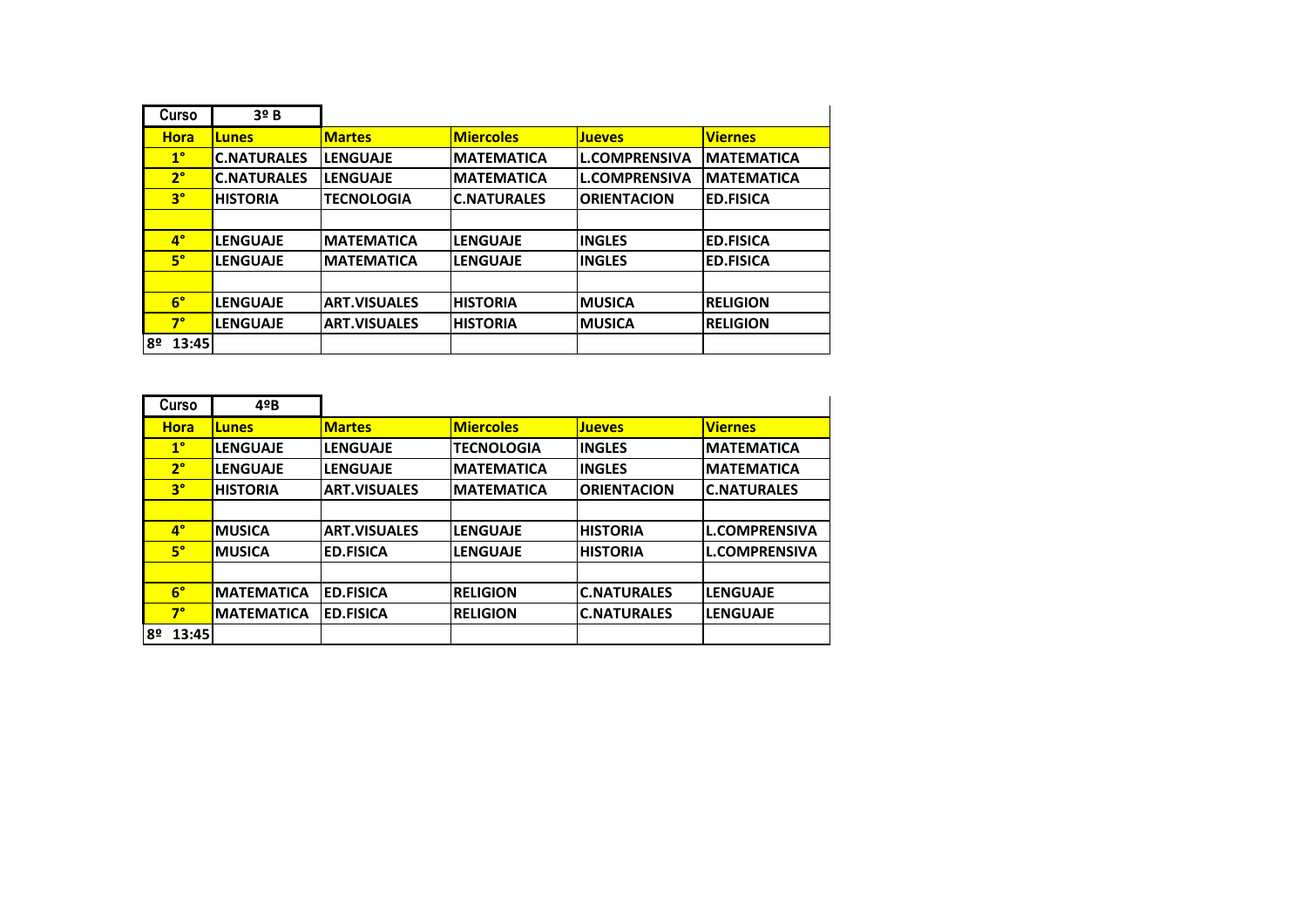|    | Curso          | 3 <sup>o</sup> B   |                     |                    |                      |                   |
|----|----------------|--------------------|---------------------|--------------------|----------------------|-------------------|
|    | <b>Hora</b>    | <b>Lunes</b>       | <b>Martes</b>       | <b>Miercoles</b>   | <b>Jueves</b>        | <b>Viernes</b>    |
|    | $1^{\circ}$    | <b>C.NATURALES</b> | <b>LENGUAJE</b>     | <b>MATEMATICA</b>  | <b>L.COMPRENSIVA</b> | <b>MATEMATICA</b> |
|    | 2 <sup>°</sup> | <b>C.NATURALES</b> | <b>LENGUAJE</b>     | <b>MATEMATICA</b>  | <b>L.COMPRENSIVA</b> | <b>MATEMATICA</b> |
|    | $3^{\circ}$    | <b>HISTORIA</b>    | <b>TECNOLOGIA</b>   | <b>C.NATURALES</b> | <b>ORIENTACION</b>   | <b>ED.FISICA</b>  |
|    |                |                    |                     |                    |                      |                   |
|    | $4^\circ$      | <b>LENGUAJE</b>    | <b>MATEMATICA</b>   | <b>LENGUAJE</b>    | <b>INGLES</b>        | <b>ED.FISICA</b>  |
|    | $5^\circ$      | <b>LENGUAJE</b>    | <b>MATEMATICA</b>   | <b>LENGUAJE</b>    | <b>INGLES</b>        | <b>ED.FISICA</b>  |
|    |                |                    |                     |                    |                      |                   |
|    | $6^{\circ}$    | <b>LENGUAJE</b>    | <b>ART.VISUALES</b> | <b>HISTORIA</b>    | <b>MUSICA</b>        | <b>RELIGION</b>   |
|    | $7^\circ$      | <b>LENGUAJE</b>    | <b>ART.VISUALES</b> | <b>HISTORIA</b>    | <b>MUSICA</b>        | <b>RELIGION</b>   |
| 8º | 13:45          |                    |                     |                    |                      |                   |

|    | Curso       | $4^{\circ}B$      |                     |                   |                    |                      |
|----|-------------|-------------------|---------------------|-------------------|--------------------|----------------------|
|    | <b>Hora</b> | <b>Lunes</b>      | <b>Martes</b>       | <b>Miercoles</b>  | <b>Jueves</b>      | <b>Viernes</b>       |
|    | $1^{\circ}$ | <b>LENGUAJE</b>   | <b>LENGUAJE</b>     | <b>TECNOLOGIA</b> | <b>INGLES</b>      | <b>IMATEMATICA</b>   |
|    | $2^{\circ}$ | <b>LENGUAJE</b>   | <b>LENGUAJE</b>     | <b>MATEMATICA</b> | <b>INGLES</b>      | <b>IMATEMATICA</b>   |
|    | $3^{\circ}$ | <b>HISTORIA</b>   | <b>ART.VISUALES</b> | <b>MATEMATICA</b> | <b>ORIENTACION</b> | <b>IC.NATURALES</b>  |
|    |             |                   |                     |                   |                    |                      |
|    | $4^\circ$   | <b>IMUSICA</b>    | <b>ART.VISUALES</b> | <b>LENGUAJE</b>   | <b>HISTORIA</b>    | <b>L.COMPRENSIVA</b> |
|    | $5^\circ$   | <b>IMUSICA</b>    | <b>ED.FISICA</b>    | <b>LENGUAJE</b>   | <b>HISTORIA</b>    | <b>L.COMPRENSIVA</b> |
|    |             |                   |                     |                   |                    |                      |
|    | $6^{\circ}$ | <b>MATEMATICA</b> | <b>IED.FISICA</b>   | <b>RELIGION</b>   | <b>C.NATURALES</b> | llenguaje            |
|    | $7^\circ$   | <b>MATEMATICA</b> | <b>ED.FISICA</b>    | <b>RELIGION</b>   | <b>C.NATURALES</b> | llenguaje            |
| 8º | 13:45       |                   |                     |                   |                    |                      |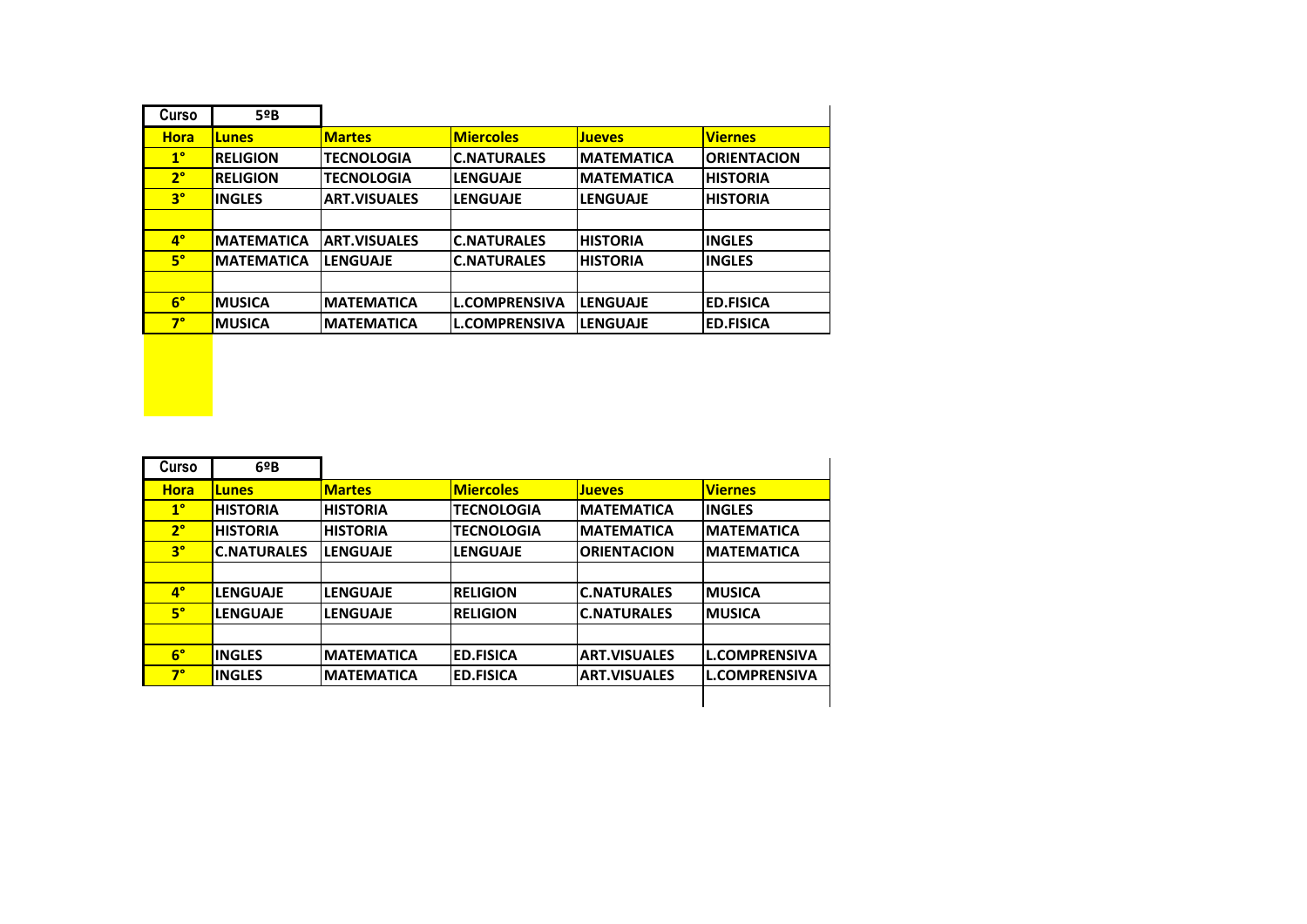| Curso       | 5ºB               |                     |                      |                    |                    |
|-------------|-------------------|---------------------|----------------------|--------------------|--------------------|
| <b>Hora</b> | <b>Lunes</b>      | <b>Martes</b>       | <b>Miercoles</b>     | <b>Jueves</b>      | <b>Viernes</b>     |
| $1^{\circ}$ | <b>RELIGION</b>   | <b>TECNOLOGIA</b>   | <b>C.NATURALES</b>   | <b>IMATEMATICA</b> | <b>ORIENTACION</b> |
| $2^{\circ}$ | <b>RELIGION</b>   | <b>TECNOLOGIA</b>   | <b>LENGUAJE</b>      | <b>MATEMATICA</b>  | <b>HISTORIA</b>    |
| $3^{\circ}$ | <b>INGLES</b>     | <b>ART.VISUALES</b> | <b>LENGUAJE</b>      | <b>LENGUAJE</b>    | <b>HISTORIA</b>    |
|             |                   |                     |                      |                    |                    |
| $4^\circ$   | <b>MATEMATICA</b> | <b>ART.VISUALES</b> | <b>C.NATURALES</b>   | <b>HISTORIA</b>    | <b>INGLES</b>      |
| $5^\circ$   | <b>MATEMATICA</b> | <b>LENGUAJE</b>     | <b>C.NATURALES</b>   | <b>HISTORIA</b>    | <b>INGLES</b>      |
|             |                   |                     |                      |                    |                    |
| $6^{\circ}$ | <b>IMUSICA</b>    | <b>MATEMATICA</b>   | <b>L.COMPRENSIVA</b> | <b>LENGUAJE</b>    | <b>ED.FISICA</b>   |
| $7^\circ$   | <b>IMUSICA</b>    | <b>MATEMATICA</b>   | <b>L.COMPRENSIVA</b> | <b>LENGUAJE</b>    | <b>ED.FISICA</b>   |

| Curso       | 69B                |                   |                   |                     |                      |
|-------------|--------------------|-------------------|-------------------|---------------------|----------------------|
| <b>Hora</b> | <b>Lunes</b>       | <b>Martes</b>     | <b>Miercoles</b>  | <b>Jueves</b>       | <b>Viernes</b>       |
| $1^{\circ}$ | <b>HISTORIA</b>    | <b>HISTORIA</b>   | <b>TECNOLOGIA</b> | <b>MATEMATICA</b>   | <b>INGLES</b>        |
| $2^{\circ}$ | <b>HISTORIA</b>    | <b>HISTORIA</b>   | <b>TECNOLOGIA</b> | <b>MATEMATICA</b>   | <b>MATEMATICA</b>    |
| $3^{\circ}$ | <b>C.NATURALES</b> | <b>LENGUAJE</b>   | <b>LENGUAJE</b>   | <b>ORIENTACION</b>  | <b>MATEMATICA</b>    |
|             |                    |                   |                   |                     |                      |
| $4^\circ$   | <b>LENGUAJE</b>    | <b>LENGUAJE</b>   | <b>RELIGION</b>   | <b>C.NATURALES</b>  | <b>MUSICA</b>        |
| $5^\circ$   | <b>LENGUAJE</b>    | <b>LENGUAJE</b>   | <b>RELIGION</b>   | <b>C.NATURALES</b>  | <b>MUSICA</b>        |
|             |                    |                   |                   |                     |                      |
| $6^{\circ}$ | <b>INGLES</b>      | <b>MATEMATICA</b> | <b>ED.FISICA</b>  | <b>ART.VISUALES</b> | <b>L.COMPRENSIVA</b> |
| 7°          | <b>INGLES</b>      | <b>MATEMATICA</b> | <b>ED.FISICA</b>  | <b>ART.VISUALES</b> | <b>L.COMPRENSIVA</b> |
|             |                    |                   |                   |                     |                      |